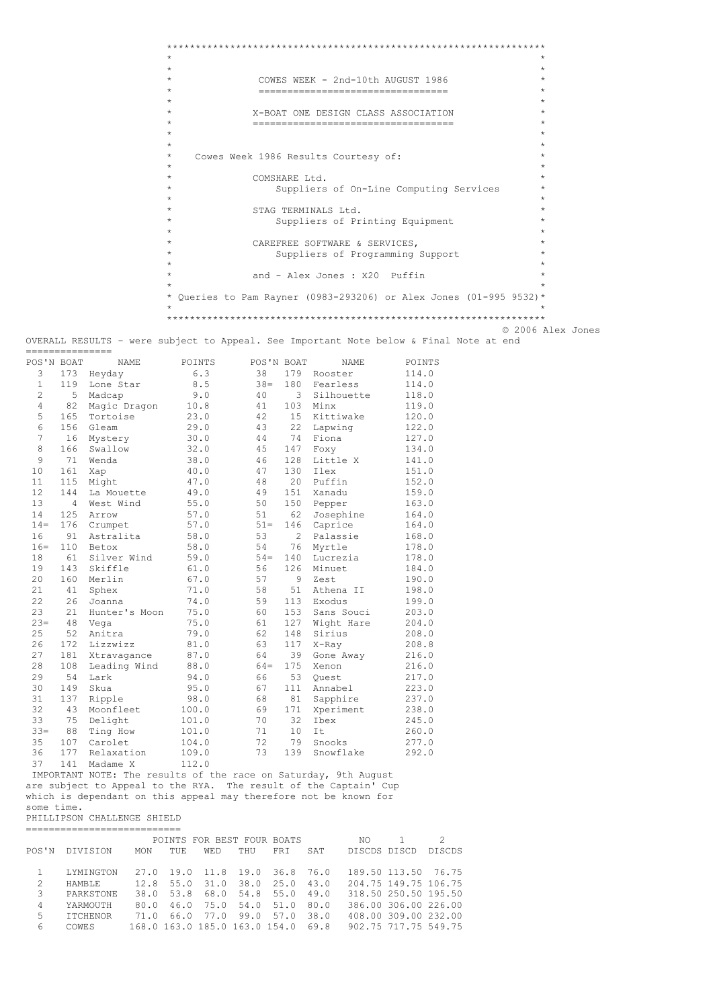```
******************************************************************
\star \star\star \star* COWES WEEK - 2nd-10th AUGUST 1986 *
* ================================= *
\star \star* X-BOAT ONE DESIGN CLASS ASSOCIATION *
       * =================================== *
\star \star\star \star* Cowes Week 1986 Results Courtesy of: *
\star \star* COMSHARE Ltd.<br>x Suppliers
         Suppliers of On-Line Computing Services
\star \star* STAG TERMINALS Ltd. *
         Suppliers of Printing Equipment
\star \star* CAREFREE SOFTWARE & SERVICES, *
* Suppliers of Programming Support *
\star \starand - Alex Jones : X20 Puffin
\star \star* Queries to Pam Rayner (0983-293206) or Alex Jones (01-995 9532)*
\star \star******************************************************************
                              © 2006 Alex Jones
```
OVERALL RESULTS – were subject to Appeal. See Important Note below & Final Note at end ===============

| 6.3<br>179<br>3<br>173<br>38<br>Rooster<br>Heyday<br>$\mathbf{1}$<br>119<br>8.5<br>$38 =$<br>180<br>Fearless<br>Lone Star<br>$\overline{c}$<br>5<br>9.0<br>40<br>3<br>Silhouette<br>Madcap<br>4<br>82<br>10.8<br>103<br>Minx<br>Magic Dragon<br>41<br>5<br>165<br>23.0<br>15<br>Kittiwake<br>Tortoise<br>42<br>6<br>156<br>29.0<br>22<br>Gleam<br>43<br>Lapwing<br>7<br>74<br>16<br>30.0<br>Fiona<br>44<br>Mystery<br>8<br>166<br>32.0<br>147<br>Swallow<br>45<br>Foxy<br>9<br>128<br>71<br>38.0<br>Little X<br>46<br>Wenda<br>10<br>161<br>40.0<br>130<br>47<br>Ilex<br>Xap<br>20<br>11<br>115<br>47.0<br>Puffin<br>Might<br>48<br>12<br>144<br>49.0<br>151<br>49<br>Xanadu<br>La Mouette<br>13<br>55.0<br>4<br>West Wind<br>50<br>150<br>Pepper<br>14<br>125<br>57.0<br>62<br>51<br>Josephine<br>Arrow<br>176<br>57.0<br>$14 =$<br>$51 =$<br>146<br>Crumpet<br>Caprice<br>16<br>91<br>58.0<br>53<br>$\overline{2}$<br>Astralita<br>Palassie<br>$16 =$<br>110<br>58.0<br>54<br>76<br>Myrtle<br>Betox<br>61<br>59.0<br>18<br>Silver Wind<br>$54 =$<br>140<br>Lucrezia<br>19<br>143<br>Skiffle<br>61.0<br>56<br>126<br>Minuet<br>20<br>160<br>67.0<br>57<br>9<br>Merlin<br>Zest<br>21<br>41<br>71.0<br>58<br>51<br>Athena II<br>Sphex<br>22<br>26<br>59<br>113<br>Joanna<br>74.0<br>Exodus<br>23<br>21<br>75.0<br>Hunter's Moon<br>60<br>153<br>Sans Souci<br>$23=$<br>48<br>75.0<br>61<br>127<br>Vega<br>Wight Hare<br>25<br>52<br>79.0<br>62<br>148<br>Sirius<br>Anitra<br>26<br>117<br>172<br>Lizzwizz<br>81.0<br>63<br>X-Ray<br>39<br>27<br>181<br>87.0<br>64<br>Xtravagance<br>Gone Away<br>175<br>28<br>108<br>88.0<br>Leading Wind<br>$64 =$<br>Xenon<br>29<br>54<br>94.0<br>66<br>53<br>Lark<br>Ouest<br>30<br>149<br>95.0<br>67<br>111<br>Skua<br>Annabel<br>98.0<br>81<br>31<br>137<br>Ripple<br>68<br>Sapphire<br>32<br>43<br>100.0<br>69<br>171<br>Xperiment<br>Moonfleet<br>33<br>75<br>70<br>32<br>Delight<br>101.0<br>Ibex<br>$33 =$<br>88<br>101.0<br>71<br>10<br>It<br>Ting How<br>35<br>107<br>72<br>79<br>Carolet<br>104.0<br>Snooks<br>36<br>177<br>109.0<br>73<br>139<br>Snowflake<br>Relaxation | POS'N BOAT | NAME | POINTS | POS'N BOAT | NAME | POINTS |
|----------------------------------------------------------------------------------------------------------------------------------------------------------------------------------------------------------------------------------------------------------------------------------------------------------------------------------------------------------------------------------------------------------------------------------------------------------------------------------------------------------------------------------------------------------------------------------------------------------------------------------------------------------------------------------------------------------------------------------------------------------------------------------------------------------------------------------------------------------------------------------------------------------------------------------------------------------------------------------------------------------------------------------------------------------------------------------------------------------------------------------------------------------------------------------------------------------------------------------------------------------------------------------------------------------------------------------------------------------------------------------------------------------------------------------------------------------------------------------------------------------------------------------------------------------------------------------------------------------------------------------------------------------------------------------------------------------------------------------------------------------------------------------------------------------------------------------------------------------------------------------------------------------------------------------------------------------------------------------------------------------------------------------------------------------------------------------------------------------------------|------------|------|--------|------------|------|--------|
|                                                                                                                                                                                                                                                                                                                                                                                                                                                                                                                                                                                                                                                                                                                                                                                                                                                                                                                                                                                                                                                                                                                                                                                                                                                                                                                                                                                                                                                                                                                                                                                                                                                                                                                                                                                                                                                                                                                                                                                                                                                                                                                      |            |      |        |            |      | 114.0  |
|                                                                                                                                                                                                                                                                                                                                                                                                                                                                                                                                                                                                                                                                                                                                                                                                                                                                                                                                                                                                                                                                                                                                                                                                                                                                                                                                                                                                                                                                                                                                                                                                                                                                                                                                                                                                                                                                                                                                                                                                                                                                                                                      |            |      |        |            |      | 114.0  |
|                                                                                                                                                                                                                                                                                                                                                                                                                                                                                                                                                                                                                                                                                                                                                                                                                                                                                                                                                                                                                                                                                                                                                                                                                                                                                                                                                                                                                                                                                                                                                                                                                                                                                                                                                                                                                                                                                                                                                                                                                                                                                                                      |            |      |        |            |      | 118.0  |
|                                                                                                                                                                                                                                                                                                                                                                                                                                                                                                                                                                                                                                                                                                                                                                                                                                                                                                                                                                                                                                                                                                                                                                                                                                                                                                                                                                                                                                                                                                                                                                                                                                                                                                                                                                                                                                                                                                                                                                                                                                                                                                                      |            |      |        |            |      | 119.0  |
|                                                                                                                                                                                                                                                                                                                                                                                                                                                                                                                                                                                                                                                                                                                                                                                                                                                                                                                                                                                                                                                                                                                                                                                                                                                                                                                                                                                                                                                                                                                                                                                                                                                                                                                                                                                                                                                                                                                                                                                                                                                                                                                      |            |      |        |            |      | 120.0  |
|                                                                                                                                                                                                                                                                                                                                                                                                                                                                                                                                                                                                                                                                                                                                                                                                                                                                                                                                                                                                                                                                                                                                                                                                                                                                                                                                                                                                                                                                                                                                                                                                                                                                                                                                                                                                                                                                                                                                                                                                                                                                                                                      |            |      |        |            |      | 122.0  |
|                                                                                                                                                                                                                                                                                                                                                                                                                                                                                                                                                                                                                                                                                                                                                                                                                                                                                                                                                                                                                                                                                                                                                                                                                                                                                                                                                                                                                                                                                                                                                                                                                                                                                                                                                                                                                                                                                                                                                                                                                                                                                                                      |            |      |        |            |      | 127.0  |
|                                                                                                                                                                                                                                                                                                                                                                                                                                                                                                                                                                                                                                                                                                                                                                                                                                                                                                                                                                                                                                                                                                                                                                                                                                                                                                                                                                                                                                                                                                                                                                                                                                                                                                                                                                                                                                                                                                                                                                                                                                                                                                                      |            |      |        |            |      | 134.0  |
|                                                                                                                                                                                                                                                                                                                                                                                                                                                                                                                                                                                                                                                                                                                                                                                                                                                                                                                                                                                                                                                                                                                                                                                                                                                                                                                                                                                                                                                                                                                                                                                                                                                                                                                                                                                                                                                                                                                                                                                                                                                                                                                      |            |      |        |            |      | 141.0  |
|                                                                                                                                                                                                                                                                                                                                                                                                                                                                                                                                                                                                                                                                                                                                                                                                                                                                                                                                                                                                                                                                                                                                                                                                                                                                                                                                                                                                                                                                                                                                                                                                                                                                                                                                                                                                                                                                                                                                                                                                                                                                                                                      |            |      |        |            |      | 151.0  |
|                                                                                                                                                                                                                                                                                                                                                                                                                                                                                                                                                                                                                                                                                                                                                                                                                                                                                                                                                                                                                                                                                                                                                                                                                                                                                                                                                                                                                                                                                                                                                                                                                                                                                                                                                                                                                                                                                                                                                                                                                                                                                                                      |            |      |        |            |      | 152.0  |
|                                                                                                                                                                                                                                                                                                                                                                                                                                                                                                                                                                                                                                                                                                                                                                                                                                                                                                                                                                                                                                                                                                                                                                                                                                                                                                                                                                                                                                                                                                                                                                                                                                                                                                                                                                                                                                                                                                                                                                                                                                                                                                                      |            |      |        |            |      | 159.0  |
|                                                                                                                                                                                                                                                                                                                                                                                                                                                                                                                                                                                                                                                                                                                                                                                                                                                                                                                                                                                                                                                                                                                                                                                                                                                                                                                                                                                                                                                                                                                                                                                                                                                                                                                                                                                                                                                                                                                                                                                                                                                                                                                      |            |      |        |            |      | 163.0  |
|                                                                                                                                                                                                                                                                                                                                                                                                                                                                                                                                                                                                                                                                                                                                                                                                                                                                                                                                                                                                                                                                                                                                                                                                                                                                                                                                                                                                                                                                                                                                                                                                                                                                                                                                                                                                                                                                                                                                                                                                                                                                                                                      |            |      |        |            |      | 164.0  |
|                                                                                                                                                                                                                                                                                                                                                                                                                                                                                                                                                                                                                                                                                                                                                                                                                                                                                                                                                                                                                                                                                                                                                                                                                                                                                                                                                                                                                                                                                                                                                                                                                                                                                                                                                                                                                                                                                                                                                                                                                                                                                                                      |            |      |        |            |      | 164.0  |
|                                                                                                                                                                                                                                                                                                                                                                                                                                                                                                                                                                                                                                                                                                                                                                                                                                                                                                                                                                                                                                                                                                                                                                                                                                                                                                                                                                                                                                                                                                                                                                                                                                                                                                                                                                                                                                                                                                                                                                                                                                                                                                                      |            |      |        |            |      | 168.0  |
|                                                                                                                                                                                                                                                                                                                                                                                                                                                                                                                                                                                                                                                                                                                                                                                                                                                                                                                                                                                                                                                                                                                                                                                                                                                                                                                                                                                                                                                                                                                                                                                                                                                                                                                                                                                                                                                                                                                                                                                                                                                                                                                      |            |      |        |            |      | 178.0  |
|                                                                                                                                                                                                                                                                                                                                                                                                                                                                                                                                                                                                                                                                                                                                                                                                                                                                                                                                                                                                                                                                                                                                                                                                                                                                                                                                                                                                                                                                                                                                                                                                                                                                                                                                                                                                                                                                                                                                                                                                                                                                                                                      |            |      |        |            |      | 178.0  |
|                                                                                                                                                                                                                                                                                                                                                                                                                                                                                                                                                                                                                                                                                                                                                                                                                                                                                                                                                                                                                                                                                                                                                                                                                                                                                                                                                                                                                                                                                                                                                                                                                                                                                                                                                                                                                                                                                                                                                                                                                                                                                                                      |            |      |        |            |      | 184.0  |
|                                                                                                                                                                                                                                                                                                                                                                                                                                                                                                                                                                                                                                                                                                                                                                                                                                                                                                                                                                                                                                                                                                                                                                                                                                                                                                                                                                                                                                                                                                                                                                                                                                                                                                                                                                                                                                                                                                                                                                                                                                                                                                                      |            |      |        |            |      | 190.0  |
|                                                                                                                                                                                                                                                                                                                                                                                                                                                                                                                                                                                                                                                                                                                                                                                                                                                                                                                                                                                                                                                                                                                                                                                                                                                                                                                                                                                                                                                                                                                                                                                                                                                                                                                                                                                                                                                                                                                                                                                                                                                                                                                      |            |      |        |            |      | 198.0  |
|                                                                                                                                                                                                                                                                                                                                                                                                                                                                                                                                                                                                                                                                                                                                                                                                                                                                                                                                                                                                                                                                                                                                                                                                                                                                                                                                                                                                                                                                                                                                                                                                                                                                                                                                                                                                                                                                                                                                                                                                                                                                                                                      |            |      |        |            |      | 199.0  |
|                                                                                                                                                                                                                                                                                                                                                                                                                                                                                                                                                                                                                                                                                                                                                                                                                                                                                                                                                                                                                                                                                                                                                                                                                                                                                                                                                                                                                                                                                                                                                                                                                                                                                                                                                                                                                                                                                                                                                                                                                                                                                                                      |            |      |        |            |      | 203.0  |
|                                                                                                                                                                                                                                                                                                                                                                                                                                                                                                                                                                                                                                                                                                                                                                                                                                                                                                                                                                                                                                                                                                                                                                                                                                                                                                                                                                                                                                                                                                                                                                                                                                                                                                                                                                                                                                                                                                                                                                                                                                                                                                                      |            |      |        |            |      | 204.0  |
|                                                                                                                                                                                                                                                                                                                                                                                                                                                                                                                                                                                                                                                                                                                                                                                                                                                                                                                                                                                                                                                                                                                                                                                                                                                                                                                                                                                                                                                                                                                                                                                                                                                                                                                                                                                                                                                                                                                                                                                                                                                                                                                      |            |      |        |            |      | 208.0  |
|                                                                                                                                                                                                                                                                                                                                                                                                                                                                                                                                                                                                                                                                                                                                                                                                                                                                                                                                                                                                                                                                                                                                                                                                                                                                                                                                                                                                                                                                                                                                                                                                                                                                                                                                                                                                                                                                                                                                                                                                                                                                                                                      |            |      |        |            |      | 208.8  |
|                                                                                                                                                                                                                                                                                                                                                                                                                                                                                                                                                                                                                                                                                                                                                                                                                                                                                                                                                                                                                                                                                                                                                                                                                                                                                                                                                                                                                                                                                                                                                                                                                                                                                                                                                                                                                                                                                                                                                                                                                                                                                                                      |            |      |        |            |      | 216.0  |
|                                                                                                                                                                                                                                                                                                                                                                                                                                                                                                                                                                                                                                                                                                                                                                                                                                                                                                                                                                                                                                                                                                                                                                                                                                                                                                                                                                                                                                                                                                                                                                                                                                                                                                                                                                                                                                                                                                                                                                                                                                                                                                                      |            |      |        |            |      | 216.0  |
|                                                                                                                                                                                                                                                                                                                                                                                                                                                                                                                                                                                                                                                                                                                                                                                                                                                                                                                                                                                                                                                                                                                                                                                                                                                                                                                                                                                                                                                                                                                                                                                                                                                                                                                                                                                                                                                                                                                                                                                                                                                                                                                      |            |      |        |            |      | 217.0  |
|                                                                                                                                                                                                                                                                                                                                                                                                                                                                                                                                                                                                                                                                                                                                                                                                                                                                                                                                                                                                                                                                                                                                                                                                                                                                                                                                                                                                                                                                                                                                                                                                                                                                                                                                                                                                                                                                                                                                                                                                                                                                                                                      |            |      |        |            |      | 223.0  |
|                                                                                                                                                                                                                                                                                                                                                                                                                                                                                                                                                                                                                                                                                                                                                                                                                                                                                                                                                                                                                                                                                                                                                                                                                                                                                                                                                                                                                                                                                                                                                                                                                                                                                                                                                                                                                                                                                                                                                                                                                                                                                                                      |            |      |        |            |      | 237.0  |
|                                                                                                                                                                                                                                                                                                                                                                                                                                                                                                                                                                                                                                                                                                                                                                                                                                                                                                                                                                                                                                                                                                                                                                                                                                                                                                                                                                                                                                                                                                                                                                                                                                                                                                                                                                                                                                                                                                                                                                                                                                                                                                                      |            |      |        |            |      | 238.0  |
|                                                                                                                                                                                                                                                                                                                                                                                                                                                                                                                                                                                                                                                                                                                                                                                                                                                                                                                                                                                                                                                                                                                                                                                                                                                                                                                                                                                                                                                                                                                                                                                                                                                                                                                                                                                                                                                                                                                                                                                                                                                                                                                      |            |      |        |            |      | 245.0  |
|                                                                                                                                                                                                                                                                                                                                                                                                                                                                                                                                                                                                                                                                                                                                                                                                                                                                                                                                                                                                                                                                                                                                                                                                                                                                                                                                                                                                                                                                                                                                                                                                                                                                                                                                                                                                                                                                                                                                                                                                                                                                                                                      |            |      |        |            |      | 260.0  |
|                                                                                                                                                                                                                                                                                                                                                                                                                                                                                                                                                                                                                                                                                                                                                                                                                                                                                                                                                                                                                                                                                                                                                                                                                                                                                                                                                                                                                                                                                                                                                                                                                                                                                                                                                                                                                                                                                                                                                                                                                                                                                                                      |            |      |        |            |      | 277.0  |
|                                                                                                                                                                                                                                                                                                                                                                                                                                                                                                                                                                                                                                                                                                                                                                                                                                                                                                                                                                                                                                                                                                                                                                                                                                                                                                                                                                                                                                                                                                                                                                                                                                                                                                                                                                                                                                                                                                                                                                                                                                                                                                                      |            |      |        |            |      | 292.0  |
| 37<br>112.0<br>141<br>Madame X                                                                                                                                                                                                                                                                                                                                                                                                                                                                                                                                                                                                                                                                                                                                                                                                                                                                                                                                                                                                                                                                                                                                                                                                                                                                                                                                                                                                                                                                                                                                                                                                                                                                                                                                                                                                                                                                                                                                                                                                                                                                                       |            |      |        |            |      |        |

 IMPORTANT NOTE: The results of the race on Saturday, 9th August are subject to Appeal to the RYA. The result of the Captain' Cup which is dependant on this appeal may therefore not be known for some time.

PHILLIPSON CHALLENGE SHIELD

===========================

| POINTS FOR BEST FOUR BOATS<br>NO                                                                  |                      |               |
|---------------------------------------------------------------------------------------------------|----------------------|---------------|
| POS'N<br>DIVISION<br>MON<br>TUE.<br>THU<br>SAT<br>DISCDS DISCD<br>FRT<br><b>WED</b>               |                      | <b>DISCDS</b> |
|                                                                                                   |                      |               |
| 189.50 113.50 76.75<br>19.0 11.8 19.0 36.8<br>LYMINGTON<br>76.0<br>27.0                           |                      |               |
| $\mathfrak{D}$<br>204.75 149.75 106.75<br>38.0<br>2.5.0<br>43.0<br>55.0<br>31.0<br>12.8<br>HAMBLE |                      |               |
| 3<br>318.50 250.50 195.50<br>68.0<br>54.8 55.0<br>49.0<br><b>PARKSTONE</b><br>53.8<br>38.0        |                      |               |
| 386.00 306.00 226.00<br>4<br>54.0<br>51.0<br>75.0<br>80.0<br>46.0<br>YARMOUTH<br>80.0             |                      |               |
| 5.<br>408.00 309.00 232.00<br>99.0<br>38.0<br><b>TTCHENOR</b><br>77.0<br>57.0<br>66.0<br>71.0     |                      |               |
| 6<br>168.0 163.0 185.0 163.0 154.0<br>69.8<br>COWES                                               | 902.75 717.75 549.75 |               |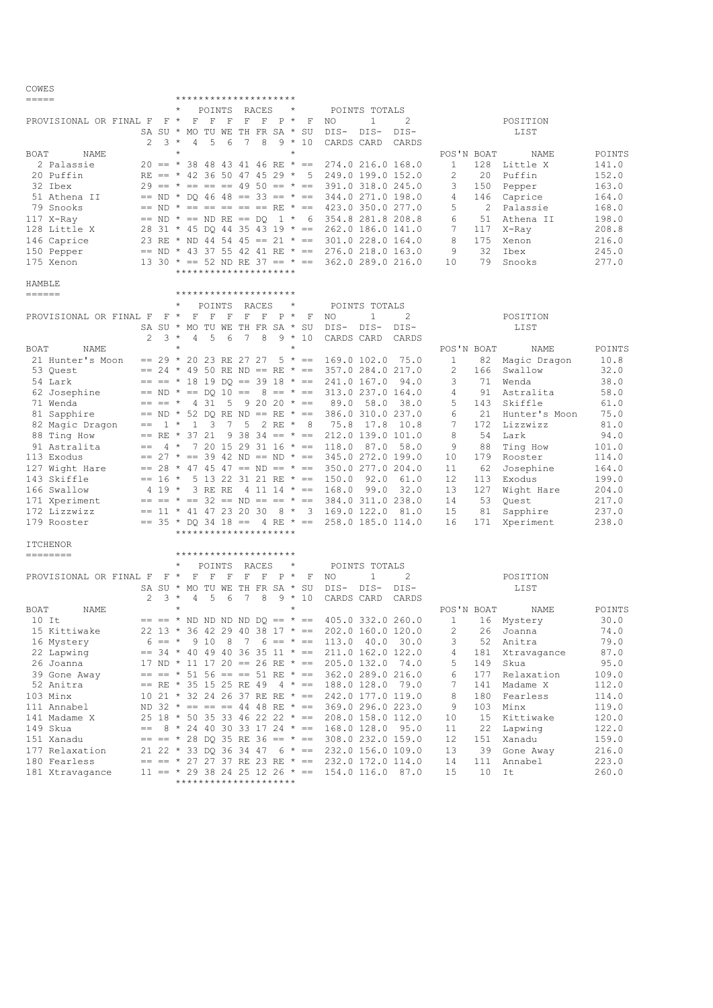| $=$ $=$ $=$ $=$            |               |            | *********************                   |                             |                                            |            |                                                              |        |                |         |                  |        |
|----------------------------|---------------|------------|-----------------------------------------|-----------------------------|--------------------------------------------|------------|--------------------------------------------------------------|--------|----------------|---------|------------------|--------|
|                            |               | $\star$    |                                         | POINTS RACES                |                                            | $\star$    | POINTS TOTALS                                                |        |                |         |                  |        |
| PROVISIONAL OR FINAL F F * |               |            | F<br>F                                  | $\mathbf F$                 | $F$ $F$ $P$ $*$                            | F          | $\mathbf{1}$<br>NO                                           | 2      |                |         | POSITION         |        |
|                            |               |            | SA SU * MO TU WE TH FR SA * SU          |                             |                                            |            | DIS-<br>DIS-                                                 | DIS-   |                |         | LIST             |        |
|                            |               | $3 *$      | 5<br>4                                  | 6<br>7                      | 8                                          | $9 * 10$   |                                                              |        |                |         |                  |        |
|                            | 2             | $\star$    |                                         |                             |                                            | $^{\star}$ | CARDS CARD                                                   | CARDS  |                |         |                  |        |
| BOAT<br>NAME               |               |            |                                         |                             |                                            |            |                                                              |        | POS'N BOAT     |         | NAME             | POINTS |
| 2 Palassie                 |               |            | $20 == * 3848434146$ RE * ==            |                             |                                            |            | 274.0 216.0 168.0                                            |        | $\mathbf{1}$   |         | 128 Little X     | 141.0  |
| 20 Puffin                  |               |            | RE == $*$ 42 36 50 47 45 29 $*$ 5       |                             |                                            |            | 249.0 199.0 152.0                                            |        | 2              | 20      | Puffin           | 152.0  |
| 32 Ibex                    |               |            |                                         |                             |                                            |            | $29 == * == == == 4950 == * == 391.0318.0245.0$              |        | 3              | 150     | Pepper           | 163.0  |
| 51 Athena II               |               |            | $==$ ND * DO 46 48 == 33 == * ==        |                             |                                            |            | 344.0 271.0 198.0                                            |        | 4              | 146     | Caprice          | 164.0  |
| 79 Snooks                  |               |            |                                         |                             |                                            |            | $==$ ND $* == == == == ==$ RE $* ==$ 423.0 350.0 277.0       |        | 5              |         | 2 Palassie       | 168.0  |
|                            |               |            |                                         |                             |                                            |            |                                                              |        |                |         |                  |        |
| 117 X-Ray                  |               |            |                                         |                             |                                            |            | $==$ ND $* ==$ ND RE == DQ 1 $*$ 6 354.8 281.8 208.8         |        | 6              |         | 51 Athena II     | 198.0  |
| 128 Little X               |               |            |                                         |                             |                                            |            | 28 31 * 45 DQ 44 35 43 19 * == 262.0 186.0 141.0             |        | 7              | 117     | X-Ray            | 208.8  |
| 146 Caprice                |               |            |                                         |                             |                                            |            | 23 RE * ND 44 54 45 == 21 * == 301.0 228.0 164.0             |        | 8              | 175     | Xenon            | 216.0  |
| 150 Pepper                 |               |            |                                         |                             |                                            |            | $==$ ND * 43 37 55 42 41 RE * == 276.0 218.0 163.0           |        | 9              | 32      | Ibex             | 245.0  |
| 175 Xenon                  |               |            |                                         |                             |                                            |            | 13 30 * == 52 ND RE 37 == * == 362.0 289.0 216.0             |        | 10             | 79      | Snooks           | 277.0  |
|                            |               |            | *********************                   |                             |                                            |            |                                                              |        |                |         |                  |        |
| HAMBLE                     |               |            |                                         |                             |                                            |            |                                                              |        |                |         |                  |        |
| $=$ $=$ $=$ $=$ $=$        |               |            |                                         |                             | ******************                         |            |                                                              |        |                |         |                  |        |
|                            |               |            |                                         |                             |                                            |            |                                                              |        |                |         |                  |        |
|                            |               |            | POINTS                                  |                             | RACES                                      | $\star$    | POINTS TOTALS                                                |        |                |         |                  |        |
| PROVISIONAL OR FINAL F     | $F^*$         |            | $\mathbf F$<br>$\mathbb F$              | $\mathbf F$<br>$\mathbf F$  | $\mathbb F$<br>$P^*$                       | F          | $\mathbf{1}$<br>NO                                           | 2      |                |         | POSITION         |        |
|                            |               |            | SA SU * MO TU WE TH FR SA * SU          |                             |                                            |            | DIS-DIS-                                                     | DIS-   |                |         | LIST             |        |
|                            | $\mathcal{L}$ | $3*$       | $\overline{4}$<br>- 5                   | 6<br>7                      | 8                                          | $9 * 10$   | CARDS CARD                                                   | CARDS  |                |         |                  |        |
| BOAT<br>NAME               |               | $\star$    |                                         |                             |                                            | $\star$    |                                                              |        | POS'N BOAT     |         | NAME             | POINTS |
| 21 Hunter's Moon           |               |            |                                         |                             |                                            |            | $== 29 * 20 23 RE 27 27 5 * == 169.0 102.0$                  | 75.0   | $\mathbf{1}$   |         | 82 Magic Dragon  | 10.8   |
|                            |               |            |                                         |                             |                                            |            |                                                              |        |                |         |                  |        |
| 53 Ouest                   |               |            | $== 24 \times 49$ 50 RE ND == RE $* ==$ |                             |                                            |            | 357.0 284.0 217.0                                            |        | 2              | 166     | Swallow          | 32.0   |
| 54 Lark                    |               |            | $== == * 18 19 DQ == 39 18 * ==$        |                             |                                            |            | 241.0 167.0                                                  | 94.0   | 3              | 71      | Wenda            | 38.0   |
| 62 Josephine               |               |            |                                         |                             |                                            |            | $== ND * == DQ 10 == 8 == * == 313.0 237.0 164.0$            |        | 4              | 91      | Astralita        | 58.0   |
| 71 Wenda                   |               |            | $== == * 4 31$                          |                             | $5 \t 9 \t 20 \t 20 \t \t \t \t \t \t = 5$ |            | 58.0<br>89.0                                                 | 38.0   | 5              |         | 143 Skiffle      | 61.0   |
| 81 Sapphire                |               |            |                                         |                             |                                            |            | $==$ ND * 52 DQ RE ND == RE * == 386.0 310.0 237.0           |        | 6              |         | 21 Hunter's Moon | 75.0   |
| 82 Magic Dragon            |               |            | $== 1 * 1 3$                            | $\overline{7}$<br>5         | 2 RE * 8                                   |            | 75.8<br>17.8                                                 | 10.8   | 7              |         | 172 Lizzwizz     | 81.0   |
| 88 Ting How                |               |            | $== RE * 37 21$                         |                             | $9\,38\,34 == * ==$                        |            | 212.0 139.0 101.0                                            |        | 8              | 54      | Lark             | 94.0   |
|                            |               |            |                                         |                             |                                            |            |                                                              |        |                |         |                  |        |
| 91 Astralita               | $==$          | $4 *$      |                                         |                             |                                            |            | 87.0<br>$7$ 20 15 29 31 16 * == 118.0                        | 58.0   | 9              | 88      | Ting How         | 101.0  |
| 113 Exodus                 |               |            |                                         |                             |                                            |            | $== 27 * == 39 42 ND == ND * == 345.0 272.0 199.0$           |        | 10             | 179     | Rooster          | 114.0  |
| 127 Wight Hare             |               |            |                                         |                             |                                            |            | $== 28 * 47 45 47 == ND == * == 350.0 277.0 204.0$           |        | 11             |         | 62 Josephine     | 164.0  |
| 143 Skiffle                |               |            | $== 16 * 5 13 22 31 21 RE * == 150.0$   |                             |                                            |            | 92.0                                                         | 61.0   | 12             | 113     | Exodus           | 199.0  |
| 166 Swallow                |               |            | 4 19 * 3 RE RE                          |                             |                                            |            | $4$ 11 14 $* == 168.0$<br>99.0                               | 32.0   | 13             | 127     | Wight Hare       | 204.0  |
| 171 Xperiment              |               |            |                                         |                             |                                            |            | $== == * == 32 == ND == == * == 384.0 311.0 238.0$           |        | 14             | 53      | Quest            | 217.0  |
| 172 Lizzwizz               |               |            |                                         |                             |                                            |            | $== 11 * 41 47 23 20 30 8 * 3 169.0 122.0 81.0$              |        | 15             | 81      | Sapphire         | 237.0  |
|                            |               |            |                                         |                             |                                            |            |                                                              |        |                |         |                  |        |
| 179 Rooster                |               |            | $==$ 35 * DO 34 18 == 4 RE * ==         |                             |                                            |            | 258.0 185.0 114.0                                            |        | 16             | 171     | Xperiment        | 238.0  |
|                            |               |            | *********************                   |                             |                                            |            |                                                              |        |                |         |                  |        |
| <b>ITCHENOR</b>            |               |            |                                         |                             |                                            |            |                                                              |        |                |         |                  |        |
|                            |               |            | *********************                   |                             |                                            |            |                                                              |        |                |         |                  |        |
|                            |               | $^{\star}$ | POINTS                                  | RACES                       |                                            | $\star$    | POINTS TOTALS                                                |        |                |         |                  |        |
| PROVISIONAL OR FINAL F     | $F \star$     |            | $\mathbf F$<br>F                        | $\mathbf F$<br>$\mathbf{F}$ | $F$ $P$ $*$                                | F          | NO<br>$\mathbf{1}$                                           | 2      |                |         | POSITION         |        |
|                            |               |            | SA SU * MO TU WE TH FR SA * SU          |                             |                                            |            | DIS-<br>$DIS-$                                               | $DIS-$ |                |         | LIST             |        |
|                            | 2             | $3 *$      | 4 5 6                                   | 7                           | 8                                          | $9 * 10$   | CARDS CARD                                                   | CARDS  |                |         |                  |        |
|                            |               |            |                                         |                             |                                            |            |                                                              |        |                |         |                  |        |
| BOAT<br>NAME               |               |            |                                         |                             |                                            |            |                                                              |        | POS'N BOAT     |         | NAME             | POINTS |
| $10$ It                    |               |            |                                         |                             |                                            |            | $== == * ND ND ND ND DD DO == * == 405.0 332.0 260.0$        |        | $\mathbf{1}$   |         | 16 Mystery       | 30.0   |
| 15 Kittiwake               |               |            |                                         |                             |                                            |            | $22$ 13 * 36 42 29 40 38 17 * == 202.0 160.0 120.0           |        | $\overline{2}$ |         | 26 Joanna        | 74.0   |
| 16 Mystery                 |               |            |                                         |                             |                                            |            | $6 == * 910 8 7 6 == * == 113.0 40.0 30.0$                   |        | 3              |         | 52 Anitra        | 79.0   |
| 22 Lapwing                 |               |            |                                         |                             |                                            |            | $== 34 * 40 49 40 36 35 11 * == 211.0 162.0 122.0$           |        | 4              |         | 181 Xtravagance  | 87.0   |
| 26 Joanna                  |               |            |                                         |                             |                                            |            | 17 ND * 11 17 20 == 26 RE * == 205.0 132.0 74.0              |        | 5              |         | 149 Skua         | 95.0   |
|                            |               |            |                                         |                             |                                            |            | $==$ == * 51 56 == == 51 RE * == 362.0 289.0 216.0           |        |                |         |                  |        |
| 39 Gone Away               |               |            |                                         |                             |                                            |            |                                                              |        | 6              | 177     | Relaxation       | 109.0  |
| 52 Anitra                  |               |            |                                         |                             |                                            |            | $== RE * 35 15 25 RE 49 4 * == 188.0 128.0 79.0$             |        | 7              | 141     | Madame X         | 112.0  |
| 103 Minx                   |               |            |                                         |                             |                                            |            | 10 21 * 32 24 26 37 RE RE * == 242.0 177.0 119.0             |        | 8              |         | 180 Fearless     | 114.0  |
| 111 Annabel                |               |            |                                         |                             |                                            |            | ND 32 $\star$ == == == 44 48 RE $\star$ == 369.0 296.0 223.0 |        | 9              |         | 103 Minx         | 119.0  |
| 141 Madame X               |               |            |                                         |                             |                                            |            | $25$ 18 * 50 35 33 46 22 22 * == 208.0 158.0 112.0           |        | 10             |         | 15 Kittiwake     | 120.0  |
| 149 Skua                   |               |            |                                         |                             |                                            |            | $==$ 8 * 24 40 30 33 17 24 * == 168.0 128.0 95.0             |        | 11             | 22      | Lapwing          | 122.0  |
| 151 Xanadu                 |               |            |                                         |                             |                                            |            | $== == * 28$ DQ 35 RE 36 == * == 308.0 232.0 159.0           |        | 12             |         | 151 Xanadu       | 159.0  |
| 177 Relaxation             |               |            |                                         |                             |                                            |            | 21 22 $\star$ 33 DQ 36 34 47 6 $\star$ == 232.0 156.0 109.0  |        | 13             |         |                  | 216.0  |
|                            |               |            |                                         |                             |                                            |            |                                                              |        |                |         | 39 Gone Away     |        |
| 180 Fearless               |               |            |                                         |                             |                                            |            | $== == * 27 27 37 RE 23 RE * == 232.0 172.0 114.0$           |        | 14             |         | 111 Annabel      | 223.0  |
| 181 Xtravagance            |               |            |                                         |                             |                                            |            | $11 == * 29 38 24 25 12 26 * == 154.0 116.0 87.0$            |        | 15             | $10$ It |                  | 260.0  |
|                            |               |            | *********************                   |                             |                                            |            |                                                              |        |                |         |                  |        |

COWES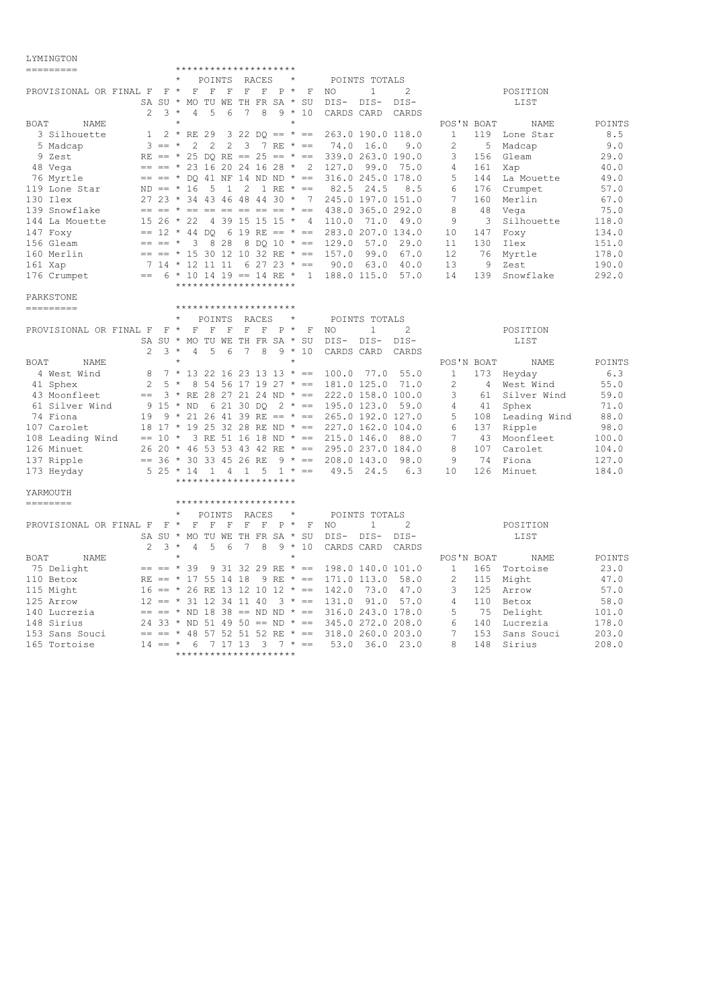## LYMINGTON

| ---------                       |                          |          |              |                                  |              |                |             |             |                                                      |                                                    |               |                                                                |                 |     |                  |        |
|---------------------------------|--------------------------|----------|--------------|----------------------------------|--------------|----------------|-------------|-------------|------------------------------------------------------|----------------------------------------------------|---------------|----------------------------------------------------------------|-----------------|-----|------------------|--------|
|                                 |                          |          | $^{\star}$   |                                  |              | POINTS RACES   |             | $^\star$    |                                                      |                                                    | POINTS TOTALS |                                                                |                 |     |                  |        |
| PROVISIONAL OR FINAL F $F *$    |                          |          | $\mathbf{F}$ | $\mathbf{F}$                     |              | $F$ F          | $F$ $P$ $*$ |             | F                                                    | NO                                                 | 1             | 2                                                              |                 |     | POSITION         |        |
|                                 |                          |          |              | SA SU * MO TU WE TH FR SA * SU   |              |                |             |             |                                                      | DIS-DIS-                                           |               | DIS-                                                           |                 |     | LIST             |        |
|                                 | 2                        | $3 *$    |              | 4<br>-5                          | 6            | 7              | 8           |             | $9 * 10$                                             | CARDS CARD                                         |               | CARDS                                                          |                 |     |                  |        |
| BOAT<br>NAME                    |                          |          |              |                                  |              |                |             | $\star$     |                                                      |                                                    |               |                                                                | POS'N BOAT      |     | NAME             | POINTS |
| 3 Silhouette                    | $\mathbf{1}$             |          |              |                                  |              |                |             |             | $2 * RE 29 3 22 DO == * ==$                          |                                                    |               | 263.0 190.0 118.0                                              | $\mathbf{1}$    |     | 119 Lone Star    | 8.5    |
| 5 Madcap                        |                          | $3 == *$ |              | $\overline{c}$<br>$\overline{2}$ |              | $2 \quad 3$    |             |             | 7 RE $* ==$                                          |                                                    | 74.0 16.0     | 9.0                                                            | $\overline{c}$  | 5   | Madcap           | 9.0    |
| 9 Zest                          |                          |          |              |                                  |              |                |             |             | RE == $*$ 25 DO RE == 25 == $*$ ==                   | 339.0 263.0 190.0                                  |               |                                                                | 3               | 156 | Gleam            | 29.0   |
| 48 Vega                         |                          |          |              |                                  |              |                |             |             |                                                      | $==$ $=$ $*$ 23 16 20 24 16 28 $*$ 2 127.0         | 99.0          | 75.0                                                           | 4               | 161 | Xap              | 40.0   |
| 76 Myrtle                       |                          |          |              |                                  |              |                |             |             |                                                      | $== == * DO 41 NF 14 ND ND * == 316.0 245.0 178.0$ |               |                                                                | 5               | 144 | La Mouette       | 49.0   |
| 119 Lone Star                   |                          |          | $ND == * 16$ | 5                                | $\mathbf{1}$ | $\overline{2}$ |             |             | $1 RE * ==$                                          | 82.5                                               | 24.5          | 8.5                                                            | 6               | 176 | Crumpet          | 57.0   |
| 130 Ilex                        |                          |          |              |                                  |              |                |             |             |                                                      | 27 23 * 34 43 46 48 44 30 * 7 245.0 197.0 151.0    |               |                                                                | 7               | 160 | Merlin           | 67.0   |
| 139 Snowflake                   |                          |          |              |                                  |              |                |             |             |                                                      | $== == * == == == == == == * == 438.0 365.0 292.0$ |               |                                                                | 8               | 48  | Vega             | 75.0   |
| 144 La Mouette                  |                          |          | $1526 * 22$  |                                  |              |                |             |             |                                                      | 4 39 15 15 15 * 4 110.0                            | 71.0          | 49.0                                                           | 9               | 3   | Silhouette       | 118.0  |
| 147 Foxy                        |                          |          |              | $== 12 * 44 DO$                  |              |                |             |             | 6 19 RE == $* ==$                                    | 283.0 207.0 134.0                                  |               |                                                                | 10              | 147 | Foxy             | 134.0  |
| 156 Gleam                       | $== == *$                |          |              | 3                                | 8 2 8        |                |             |             |                                                      | 8 DO 10 $* == 129.0$                               | 57.0          | 29.0                                                           | 11              | 130 | Ilex             | 151.0  |
| 160 Merlin                      |                          |          |              |                                  |              |                |             |             |                                                      | $== == * 15 30 12 10 32 RE * == 157.0$             | 99.0          | 67.0                                                           | 12 <sup>°</sup> | 76  | Myrtle           | 178.0  |
| 161 Xap                         |                          |          |              |                                  |              |                |             |             | $7$ 14 * 12 11 11 6 27 23 * ==                       |                                                    | 90.063.0      | 40.0                                                           | 13              | - 9 | Zest             | 190.0  |
|                                 |                          |          |              |                                  |              |                |             |             |                                                      | $== 6 * 10 14 19 == 14 RE * 1 188.0 115.0$         |               | 57.0                                                           | 14              | 139 | Snowflake        | 292.0  |
| 176 Crumpet                     |                          |          |              | *********************            |              |                |             |             |                                                      |                                                    |               |                                                                |                 |     |                  |        |
|                                 |                          |          |              |                                  |              |                |             |             |                                                      |                                                    |               |                                                                |                 |     |                  |        |
| PARKSTONE                       |                          |          |              | *********************            |              |                |             |             |                                                      |                                                    |               |                                                                |                 |     |                  |        |
| ---------                       |                          |          |              |                                  |              |                |             | $^\star$    |                                                      |                                                    |               |                                                                |                 |     |                  |        |
|                                 |                          |          |              | POINTS                           |              | RACES          |             |             |                                                      |                                                    | POINTS TOTALS |                                                                |                 |     |                  |        |
| PROVISIONAL OR FINAL F F *      |                          |          |              | $\mathbf F$                      |              | $F$ $F$ $F$    | F           | $P^*$       | F                                                    | NO                                                 | $\mathbf{1}$  | $\overline{2}$                                                 |                 |     | POSITION         |        |
|                                 |                          |          |              | SA SU * MO TU WE TH FR SA * SU   |              |                |             |             |                                                      | DIS-                                               | DIS-          | DIS-                                                           |                 |     | LIST             |        |
|                                 | 2                        | $3 *$    |              | 5<br>4                           | 6            | 7              | 8           |             | $9 * 10$                                             | CARDS CARD                                         |               | CARDS                                                          |                 |     |                  |        |
| BOAT<br><b>NAME</b>             |                          |          | $\star$      |                                  |              |                |             | $\star$     |                                                      |                                                    |               |                                                                | POS'N BOAT      |     | NAME             | POINTS |
| 4 West Wind                     | 8                        |          |              |                                  |              |                |             |             |                                                      | $7 * 13 22 16 23 13 13 * == 100.0 77.0$            |               | 55.0                                                           | $\mathbf{1}$    |     | 173 Heyday       | 6.3    |
| 41 Sphex                        | $2 \quad 5 *$            |          |              |                                  |              |                |             |             |                                                      | 8 54 56 17 19 27 * == 181.0 125.0                  |               | 71.0                                                           | $\overline{2}$  |     | 4 West Wind      | 55.0   |
| 43 Moonfleet                    |                          |          |              |                                  |              |                |             |             |                                                      |                                                    |               | $==$ 3 * RE 28 27 21 24 ND * == 222.0 158.0 100.0              | 3               |     | 61 Silver Wind   | 59.0   |
| 61 Silver Wind                  | 9 15 * ND                |          |              |                                  |              | 6 21 30 DO     |             |             |                                                      | $2 * == 195.0 123.0$                               |               | 59.0                                                           | $\overline{4}$  | 41  | Sphex            | 71.0   |
| 74 Fiona                        |                          |          |              |                                  |              |                |             |             |                                                      |                                                    |               | 19 9 * 21 26 41 39 RE == * == 265.0 192.0 127.0                | 5               |     | 108 Leading Wind | 88.0   |
| 107 Carolet                     |                          |          |              |                                  |              |                |             |             |                                                      |                                                    |               | 18 17 $\star$ 19 25 32 28 RE ND $\star$ == 227.0 162.0 104.0   | 6               | 137 | Ripple           | 98.0   |
| 108 Leading Wind == $10 \times$ |                          |          |              |                                  |              |                |             |             |                                                      |                                                    |               | 3 RE 51 16 18 ND $* == 215.0 146.0 88.0$                       | 7               |     | 43 Moonfleet     | 100.0  |
| 126 Minuet                      |                          |          |              |                                  |              |                |             |             |                                                      |                                                    |               | $26$ 20 $\star$ 46 53 53 43 42 RE $\star$ == 295.0 237.0 184.0 | 8               | 107 | Carolet          | 104.0  |
| 137 Ripple                      | $== 36 * 30 33 45 26 RE$ |          |              |                                  |              |                |             |             |                                                      | $9 * == 208.0 143.0$                               |               | 98.0                                                           | - 9             |     | 74 Fiona         | 127.0  |
| 173 Heyday                      | $5\;25\;*14$             |          |              |                                  |              |                |             |             | $1 \quad 4 \quad 1 \quad 5 \quad 1 \quad * \quad ==$ |                                                    | 49.5 24.5     | 6.3                                                            | 10              | 126 | Minuet           | 184.0  |
|                                 |                          |          |              | *********************            |              |                |             |             |                                                      |                                                    |               |                                                                |                 |     |                  |        |
| YARMOUTH                        |                          |          |              |                                  |              |                |             |             |                                                      |                                                    |               |                                                                |                 |     |                  |        |
| ========                        |                          |          |              | *********************            |              |                |             |             |                                                      |                                                    |               |                                                                |                 |     |                  |        |
|                                 |                          |          |              | POINTS                           |              | RACES          |             | $^\star$    |                                                      |                                                    | POINTS TOTALS |                                                                |                 |     |                  |        |
| PROVISIONAL OR FINAL F F *      |                          |          |              | F                                | $F-F$        | $\mathbf{F}$   |             | $F$ $P$ $*$ | F                                                    | NO.                                                | $\mathbf{1}$  | 2                                                              |                 |     | POSITION         |        |
|                                 |                          |          |              | SA SU * MO TU WE TH FR SA * SU   |              |                |             |             |                                                      | DIS-DIS-                                           |               | DIS-                                                           |                 |     | LIST             |        |
|                                 | $\mathcal{L}$            | $3 *$    |              | .5<br>$\overline{4}$             | 6            | 7              | 8           |             | $9 * 10$                                             | CARDS CARD                                         |               | CARDS                                                          |                 |     |                  |        |
| BOAT<br>NAME                    |                          |          | $\star$      |                                  |              |                |             | $\star$     |                                                      |                                                    |               |                                                                | POS'N BOAT      |     | NAME             | POINTS |
| 75 Delight                      |                          |          | $== == * 39$ |                                  |              |                |             |             |                                                      | $9$ 31 32 29 RE $* == 198.0$ 140.0 101.0           |               |                                                                | 1               |     | 165 Tortoise     | 23.0   |
| 110 Betox                       |                          |          |              | RE == $*$ 17 55 14 18            |              |                |             |             | 9 RE $* ==$                                          | 171.0 113.0                                        |               | 58.0                                                           | 2               |     | 115 Might        | 47.0   |
| 115 Might                       |                          |          |              |                                  |              |                |             |             |                                                      | $16 == * 26$ RE 13 12 10 12 * == 142.0             | 73.0          | 47.0                                                           | 3               | 125 | Arrow            | 57.0   |
| 125 Arrow                       |                          |          |              | $12 == * 31 12 34 11 40$         |              |                |             |             |                                                      | $3 * == 131.0 91.0$                                |               | 57.0                                                           | $\overline{4}$  |     | 110 Betox        | 58.0   |
|                                 |                          |          |              |                                  |              |                |             |             |                                                      |                                                    |               |                                                                |                 |     |                  | 101.0  |
| 140 Lucrezia                    |                          |          |              |                                  |              |                |             |             |                                                      |                                                    |               | $== == * ND 18 38 == ND ND * == 316.0 243.0 178.0$             | 5               | 75  | Delight          |        |
| 148 Sirius                      |                          |          |              |                                  |              |                |             |             |                                                      |                                                    |               | 24 33 * ND 51 49 50 == ND * == 345.0 272.0 208.0               | 6               |     | 140 Lucrezia     | 178.0  |
| 153 Sans Souci                  |                          |          |              |                                  |              |                |             |             |                                                      | $== == * 48 57 52 51 52 RE * == 318.0 260.0 203.0$ |               |                                                                | $7\overline{ }$ | 153 | Sans Souci       | 203.0  |

165 Tortoise 14 == \* 6 7 17 13 3 7 \* == 53.0 36.0 23.0 8 148 Sirius 208.0

\*\*\*\*\*\*\*\*\*\*\*\*\*\*\*\*\*\*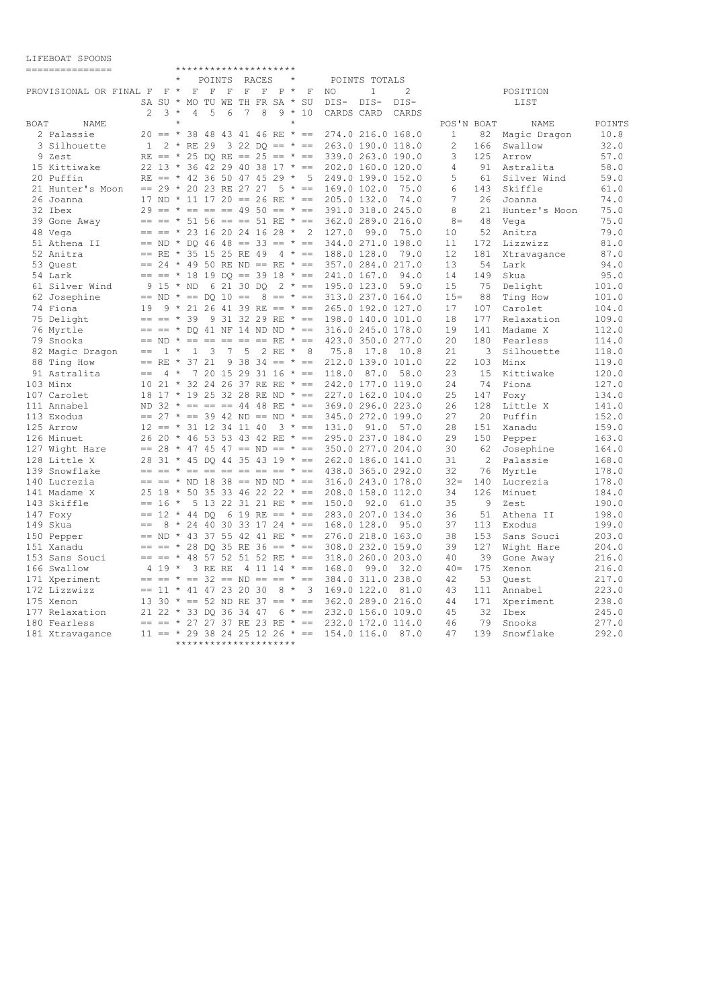## LIFEBOAT SPOONS

|      | ===============            |              |                                    |         |              | *********************   |            |              |       |          |          |                                        |                                                                |               |                   |                 |     |                 |        |
|------|----------------------------|--------------|------------------------------------|---------|--------------|-------------------------|------------|--------------|-------|----------|----------|----------------------------------------|----------------------------------------------------------------|---------------|-------------------|-----------------|-----|-----------------|--------|
|      |                            |              |                                    | $\star$ |              | POINTS                  |            |              | RACES |          | $^\star$ |                                        |                                                                | POINTS TOTALS |                   |                 |     |                 |        |
|      | PROVISIONAL OR FINAL F F * |              |                                    |         | $\mathbf F$  | $\mathbf F$             | – F        | $\mathbb{F}$ | F     | $P^*$    |          | F                                      | NO.                                                            | $\mathbf{1}$  | 2                 |                 |     | POSITION        |        |
|      |                            |              | SA SU * MO TU WE TH FR SA * SU     |         |              |                         |            |              |       |          |          |                                        | DIS-                                                           | DIS-          | DIS-              |                 |     | LIST            |        |
|      |                            | 2            |                                    | $3 *$   | 4            | - 5                     | 6          | 7            | 8     |          |          | $9 * 10$                               | CARDS CARD                                                     |               | CARDS             |                 |     |                 |        |
| BOAT | NAME                       |              |                                    |         |              |                         |            |              |       |          |          |                                        |                                                                |               |                   | POS'N BOAT      |     | NAME            | POINTS |
|      | 2 Palassie                 |              |                                    |         |              |                         |            |              |       |          |          | $20 == * 3848434146 RE * ==$           | 274.0 216.0 168.0                                              |               |                   | $\mathbf{1}$    |     | 82 Magic Dragon | 10.8   |
|      | 3 Silhouette               | $\mathbf{1}$ |                                    |         |              | 2 * RE 29               |            |              |       |          |          | $3$ 22 DO == $* ==$                    | 263.0 190.0 118.0                                              |               |                   | $\overline{c}$  | 166 | Swallow         | 32.0   |
|      | 9 Zest                     |              |                                    |         |              |                         |            |              |       |          |          |                                        | RE == $*$ 25 DO RE == 25 == $*$ == 339.0 263.0 190.0           |               |                   | 3               | 125 | Arrow           | 57.0   |
|      | 15 Kittiwake               |              |                                    |         |              |                         |            |              |       |          |          |                                        | 22 13 * 36 42 29 40 38 17 * == 202.0 160.0 120.0               |               |                   | 4               | 91  | Astralita       | 58.0   |
|      | 20 Puffin                  |              |                                    |         |              |                         |            |              |       |          |          |                                        | RE == $*$ 42 36 50 47 45 29 $*$ 5 249.0 199.0 152.0            |               |                   | 5               | 61  | Silver Wind     | 59.0   |
|      | 21 Hunter's Moon           |              | $== 29 * 20 23 RE 27 27$           |         |              |                         |            |              |       |          |          | $5 * ==$                               | 169.0 102.0                                                    |               | 75.0              | 6               | 143 | Skiffle         | 61.0   |
|      | 26 Joanna                  |              | 17 ND * 11 17 20 == 26 RE * ==     |         |              |                         |            |              |       |          |          |                                        | 205.0 132.0                                                    |               | 74.0              | $7\phantom{.0}$ | 26  | Joanna          | 74.0   |
|      | 32 Ibex                    |              | $29 == * == == == 49 50 == * ==$   |         |              |                         |            |              |       |          |          |                                        | 391.0 318.0 245.0                                              |               |                   | 8               | 21  | Hunter's Moon   | 75.0   |
|      | 39 Gone Away               |              |                                    |         |              |                         |            |              |       |          |          |                                        | $== == * 51$ 56 == == 51 RE * == 362.0 289.0 216.0             |               |                   | $8 =$           | 48  | Vega            | 75.0   |
|      | 48 Vega                    |              |                                    |         |              |                         |            |              |       |          |          |                                        | $==$ $=$ $*$ 23 16 20 24 16 28 $*$ 2 127.0 99.0                |               | 75.0              | 10              | 52  | Anitra          | 79.0   |
|      | 51 Athena II               |              | $==$ ND * DO 46 48 == 33 == * ==   |         |              |                         |            |              |       |          |          |                                        | 344.0 271.0 198.0                                              |               |                   | 11              | 172 | Lizzwizz        | 81.0   |
|      | 52 Anitra                  |              | $==$ RE * 35 15 25 RE 49           |         |              |                         |            |              |       |          |          |                                        | $4 * == 188.0 128.0$                                           |               | 79.0              | 12              | 181 | Xtravagance     | 87.0   |
|      | 53 Quest                   |              |                                    |         |              |                         |            |              |       |          |          |                                        | $==$ 24 * 49 50 RE ND == RE * == 357.0 284.0 217.0             |               |                   | 13              | 54  | Lark            | 94.0   |
|      | 54 Lark                    |              |                                    |         |              |                         |            |              |       |          |          |                                        | $== == * 18 19 DQ == 39 18 * == 241.0 167.0$                   |               | 94.0              | 14              | 149 | Skua            | 95.0   |
|      | 61 Silver Wind             |              | 9 15 * ND                          |         |              |                         | 6 21 30 DO |              |       |          |          |                                        | $2 * == 195.0 123.0$                                           |               | 59.0              | 15              | 75  | Delight         | 101.0  |
|      | 62 Josephine               |              |                                    |         |              |                         |            |              |       |          |          |                                        | $==$ ND $* ==$ DO 10 == 8 == $* ==$ 313.0 237.0 164.0          |               |                   | $15 -$          | 88  | Ting How        | 101.0  |
|      | 74 Fiona                   | 19           |                                    |         |              |                         |            |              |       |          |          |                                        | $9 * 21 26 41 39 RE == * == 265.0 192.0 127.0$                 |               |                   | 17              | 107 | Carolet         | 104.0  |
|      | 75 Delight                 |              | $== == * 39$                       |         |              |                         |            |              |       |          |          | 9 31 32 29 RE $* ==$                   | 198.0 140.0 101.0                                              |               |                   | 18              | 177 | Relaxation      | 109.0  |
|      | 76 Myrtle                  |              |                                    |         |              |                         |            |              |       |          |          |                                        | $== == * DO 41 NF 14 ND ND * == 316.0 245.0 178.0$             |               |                   | 19              | 141 | Madame X        | 112.0  |
|      | 79 Snooks                  |              |                                    |         |              |                         |            |              |       |          |          | $==$ ND $* == == == == == &$ $RE * ==$ |                                                                |               | 423.0 350.0 277.0 | 20              | 180 | Fearless        | 114.0  |
|      | 82 Magic Dragon            | $==$         |                                    | $1 *$   | $\mathbf{1}$ | $\overline{\mathbf{3}}$ |            | 7 5          |       | 2 RE * 8 |          |                                        | 75.8                                                           | 17.8          | 10.8              | 21              | 3   | Silhouette      | 118.0  |
|      | 88 Ting How                |              | $== RE * 37 21$                    |         |              |                         |            |              |       |          |          |                                        | $9$ 38 34 == $\star$ == 212.0 139.0 101.0                      |               |                   | 22              | 103 | Minx            | 119.0  |
|      | 91 Astralita               | $==$         |                                    | $4 *$   |              |                         |            |              |       |          |          | 7 20 15 29 31 16 $* ==$                | 118.0 87.0                                                     |               | 58.0              | 23              | 15  | Kittiwake       | 120.0  |
|      | 103 Minx                   |              |                                    |         |              |                         |            |              |       |          |          |                                        | 10 21 * 32 24 26 37 RE RE * == 242.0 177.0 119.0               |               |                   | 24              | 74  | Fiona           | 127.0  |
|      | 107 Carolet                |              |                                    |         |              |                         |            |              |       |          |          |                                        | 18 17 * 19 25 32 28 RE ND * == 227.0 162.0 104.0               |               |                   | 25              | 147 | Foxy            | 134.0  |
|      | 111 Annabel                |              |                                    |         |              |                         |            |              |       |          |          |                                        | ND 32 $* == == 44$ 48 RE $* == 369.0$ 296.0 223.0              |               |                   | 26              | 128 | Little X        | 141.0  |
|      | 113 Exodus                 |              |                                    |         |              |                         |            |              |       |          |          | $== 27 * == 39 42 ND == ND * ==$       | 345.0 272.0 199.0                                              |               |                   | 27              | 20  | Puffin          | 152.0  |
|      | 125 Arrow                  |              | $12 == * 31 12 34 11 40$           |         |              |                         |            |              |       |          |          |                                        | $3 * == 131.0$                                                 | 91.0          | 57.0              | 28              | 151 | Xanadu          | 159.0  |
|      | 126 Minuet                 |              |                                    |         |              |                         |            |              |       |          |          |                                        | 26 20 * 46 53 53 43 42 RE * == 295.0 237.0 184.0               |               |                   | 29              | 150 | Pepper          | 163.0  |
|      | 127 Wight Hare             |              |                                    |         |              |                         |            |              |       |          |          |                                        | $== 28 * 47 45 47 == ND == * == 350.0 277.0 204.0$             |               |                   | 30              | 62  | Josephine       | 164.0  |
|      | 128 Little X               |              |                                    |         |              |                         |            |              |       |          |          |                                        | 28 31 * 45 DO 44 35 43 19 * == 262.0 186.0 141.0               |               |                   | 31              |     | 2 Palassie      | 168.0  |
|      | 139 Snowflake              |              |                                    |         |              |                         |            |              |       |          |          |                                        | $== == * == == == == == == * == 438.0 365.0 292.0$             |               |                   | 32              | 76  | Myrtle          | 178.0  |
|      | 140 Lucrezia               |              |                                    |         |              |                         |            |              |       |          |          |                                        | $== == * ND 18 38 == ND ND * == 316.0 243.0 178.0$             |               |                   | $32 -$          | 140 | Lucrezia        | 178.0  |
|      | 141 Madame X               |              |                                    |         |              |                         |            |              |       |          |          |                                        | $25$ 18 $\star$ 50 35 33 46 22 22 $\star$ == 208.0 158.0 112.0 |               |                   | 34              | 126 | Minuet          | 184.0  |
|      | 143 Skiffle                |              | $== 16 *$                          |         |              |                         |            |              |       |          |          |                                        | $5$ 13 22 31 21 RE $* == 150.0$                                | 92.0          | 61.0              | 35              | 9   | Zest            | 190.0  |
|      | 147 Foxy                   |              | $== 12 * 44 DO$                    |         |              |                         |            |              |       |          |          | 6 19 RE == $* ==$                      | 283.0 207.0 134.0                                              |               |                   | 36              | 51  | Athena II       | 198.0  |
|      | 149 Skua                   | $==$         |                                    |         |              |                         |            |              |       |          |          |                                        | $8 * 24 40 30 33 17 24 * == 168.0 128.0$                       |               | 95.0              | 37              | 113 | Exodus          | 199.0  |
|      | 150 Pepper                 |              |                                    |         |              |                         |            |              |       |          |          |                                        | $==$ ND * 43 37 55 42 41 RE * == 276.0 218.0 163.0             |               |                   | 38              | 153 | Sans Souci      | 203.0  |
|      | 151 Xanadu                 |              |                                    |         |              |                         |            |              |       |          |          |                                        | $== == * 28$ DQ 35 RE 36 == * == 308.0 232.0 159.0             |               |                   | 39              | 127 | Wight Hare      | 204.0  |
|      | 153 Sans Souci             |              |                                    |         |              |                         |            |              |       |          |          |                                        | $==$ $=$ $*$ 48 57 52 51 52 RE $*$ $==$ 318.0 260.0 203.0      |               |                   | 40              | 39  | Gone Away       | 216.0  |
|      | 166 Swallow                |              | $4 \t19$ *                         |         |              | 3 RE RE                 |            |              |       |          |          | $4$ 11 14 $* ==$                       | 168.0                                                          | 99.0          | 32.0              | $40 =$          | 175 | Xenon           | 216.0  |
|      | 171 Xperiment              |              | $== == * == 32 == ND == == * ==$   |         |              |                         |            |              |       |          |          |                                        | 384.0 311.0 238.0                                              |               |                   | 42              | 53  | Quest           | 217.0  |
|      | 172 Lizzwizz               |              | $== 11 * 41 47 23 20 30$           |         |              |                         |            |              |       |          |          |                                        | $8 * 3 169.0 122.0$                                            |               | 81.0              | 43              | 111 | Annabel         | 223.0  |
|      | 175 Xenon                  |              | 13 30 $* == 52$ ND RE 37 == $* ==$ |         |              |                         |            |              |       |          |          |                                        | 362.0 289.0 216.0                                              |               |                   | 44              | 171 | Xperiment       | 238.0  |
|      | 177 Relaxation             |              | 21 22 * 33 DO 36 34 47             |         |              |                         |            |              |       |          |          | $6 * ==$                               |                                                                |               | 232.0 156.0 109.0 | 45              | 32  | Ibex            | 245.0  |
|      | 180 Fearless               |              |                                    |         |              |                         |            |              |       |          |          |                                        | $== == * 27 27 37 RE 23 RE * == 232.0 172.0 114.0$             |               |                   | 46              | 79  | Snooks          | 277.0  |
|      | 181 Xtravagance            |              |                                    |         |              |                         |            |              |       |          |          | $11 == * 29 38 24 25 12 26 * ==$       | 154.0 116.0 87.0                                               |               |                   | 47              | 139 | Snowflake       | 292.0  |
|      |                            |              |                                    |         |              | *********************   |            |              |       |          |          |                                        |                                                                |               |                   |                 |     |                 |        |
|      |                            |              |                                    |         |              |                         |            |              |       |          |          |                                        |                                                                |               |                   |                 |     |                 |        |